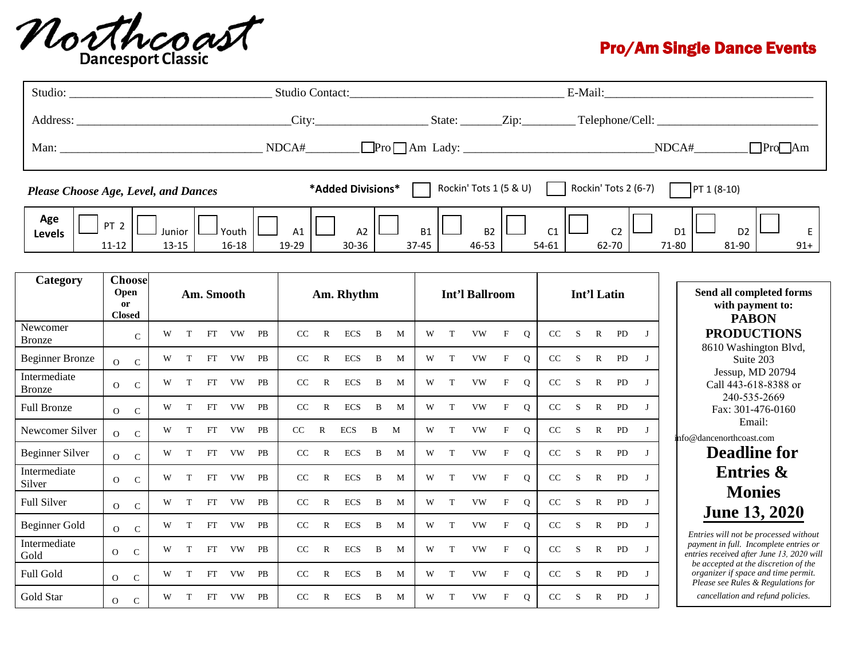

## Pro/Am Single Dance Events

|                                      |                                                         |               |   |                    |            |                                        |    |                        |                        |            |                    | E-Mail:               |                                        |   |           |              |                                                                  |      |              |              |                                                              |                   |                                                                                                                   |
|--------------------------------------|---------------------------------------------------------|---------------|---|--------------------|------------|----------------------------------------|----|------------------------|------------------------|------------|--------------------|-----------------------|----------------------------------------|---|-----------|--------------|------------------------------------------------------------------|------|--------------|--------------|--------------------------------------------------------------|-------------------|-------------------------------------------------------------------------------------------------------------------|
|                                      |                                                         |               |   |                    |            |                                        |    |                        |                        |            |                    |                       |                                        |   |           |              |                                                                  |      |              |              |                                                              |                   |                                                                                                                   |
| Man:                                 |                                                         |               |   |                    |            |                                        |    | NDCA#                  |                        |            |                    |                       |                                        |   |           |              |                                                                  |      |              |              |                                                              | Pre <sub>Am</sub> |                                                                                                                   |
| Please Choose Age, Level, and Dances | *Added Divisions*                                       |               |   |                    |            |                                        |    | Rockin' Tots 1 (5 & U) |                        |            |                    | Rockin' Tots 2 (6-7)  | PT 1 (8-10)                            |   |           |              |                                                                  |      |              |              |                                                              |                   |                                                                                                                   |
| Age<br>Levels                        | PT <sub>2</sub><br>Junior<br>$11 - 12$<br>$13 - 15$     |               |   | Youth<br>$16 - 18$ |            | A1<br>A <sub>2</sub><br>19-29<br>30-36 |    |                        | <b>B1</b><br>$37 - 45$ |            | <b>B2</b><br>46-53 |                       | C1<br>C <sub>2</sub><br>54-61<br>62-70 |   |           |              | D <sub>1</sub><br>D <sub>2</sub><br>E<br>71-80<br>81-90<br>$91+$ |      |              |              |                                                              |                   |                                                                                                                   |
| Category                             | <b>Choose</b><br>Open<br><sub>or</sub><br><b>Closed</b> |               |   |                    | Am. Smooth |                                        |    | Am. Rhythm             |                        |            |                    | <b>Int'l Ballroom</b> |                                        |   |           | Int'l Latin  |                                                                  |      |              |              | Send all completed forms<br>with payment to:<br><b>PABON</b> |                   |                                                                                                                   |
| Newcomer<br><b>Bronze</b>            |                                                         | $\mathcal{C}$ | W | T                  | FT         | <b>VW</b>                              | PB | CC                     | $\mathbb{R}$           | <b>ECS</b> | B                  | M                     | W                                      | T | <b>VW</b> | $\mathbf{F}$ | $\mathbf Q$                                                      | CC   | S            | $\mathbf{R}$ | PD                                                           | $\mathbf{I}$      | <b>PRODUCTIONS</b><br>8610 Washington Blvd,                                                                       |
| <b>Beginner Bronze</b>               | $\overline{O}$                                          | ${\bf C}$     | W | T                  | FT         | <b>VW</b>                              | PB | CC                     | $\mathbb{R}$           | <b>ECS</b> | B                  | M                     | W                                      | T | <b>VW</b> | $\mathbf{F}$ | $\mathbf{O}$                                                     | CC S |              | $\mathbb{R}$ | PD                                                           | $\bf{I}$          | Suite 203                                                                                                         |
| Intermediate<br><b>Bronze</b>        | $\mathbf{O}$                                            | ${\bf C}$     | W | T                  | FT         | VW                                     | PB | CC                     | $\mathbb{R}$           | <b>ECS</b> | B                  | M                     | W                                      | T | <b>VW</b> | $\rm F$      | $\mathbf{O}$                                                     | CC   | <sub>S</sub> | $\mathbb{R}$ | PD                                                           | $\mathbf{J}$      | Jessup, MD 20794<br>Call 443-618-8388 or<br>240-535-2669                                                          |
| <b>Full Bronze</b>                   | $\Omega$                                                | $\mathcal{C}$ | W | T                  | FT         | <b>VW</b>                              | PB | CC                     | $\mathbb{R}$           | ECS        | $\bf{B}$           | M                     | W                                      | T | <b>VW</b> | $\rm F$      | $\mathbf Q$                                                      | CC   | S            | $\mathbb{R}$ | PD                                                           | $\bf{I}$          | Fax: 301-476-0160                                                                                                 |
| Newcomer Silver                      | $\Omega$                                                | $\mathcal{C}$ | W | T                  | FT         | <b>VW</b>                              | PB | $\rm CC$               | $\mathbf R$            | <b>ECS</b> | $\, {\bf B}$       | M                     | W                                      | T | <b>VW</b> | $\rm F$      | Q                                                                | CC   | S            | $\mathbf R$  | PD                                                           | $\mathbf{I}$      | Email:<br>info@dancenorthcoast.com                                                                                |
| <b>Beginner Silver</b>               | $\Omega$                                                | $\mathcal{C}$ | W | T                  | FT         | VW                                     | PB | CC                     | $\mathbb{R}$           | <b>ECS</b> | $\mathbf B$        | M                     | W                                      | T | <b>VW</b> | $\mathbf F$  | $\mathbf{O}$                                                     | CC   | S            | $\mathbf R$  | PD                                                           | $\mathbf{I}$      | <b>Deadline for</b>                                                                                               |
| Intermediate<br>Silver               | $\Omega$                                                | $\mathcal{C}$ | W | T                  | FT         | VW                                     | PB | CC                     | $\mathbb{R}$           | <b>ECS</b> | B                  | M                     | W                                      | T | <b>VW</b> | $\mathbf{F}$ | $\mathbf{O}$                                                     | CC   | S            | $\mathbb{R}$ | PD                                                           | $\bf{I}$          | <b>Entries &amp;</b>                                                                                              |
| Full Silver                          | $\overline{O}$                                          | $\mathbf C$   | W | T                  | FT         | <b>VW</b>                              | PB | $\rm CC$               | $\mathbb{R}$           | <b>ECS</b> | B                  | M                     | W                                      | T | <b>VW</b> | $\mathbf F$  | $\mathbf{O}$                                                     | CC   | S            | $\mathbf R$  | ${\rm PD}$                                                   | $\mathbf{J}$      | <b>Monies</b>                                                                                                     |
| <b>Beginner Gold</b>                 | $\Omega$                                                | $\mathbf C$   | W | T                  | FT         | VW                                     | PB | CC                     | $\mathbb{R}$           | <b>ECS</b> | B                  | M                     | W                                      | T | <b>VW</b> | $\mathbf{F}$ | $\Omega$                                                         | CC   | S            | $\mathbb{R}$ | PD                                                           | $\mathbf{I}$      | <b>June 13, 2020</b><br>Entries will not be processed without                                                     |
| Intermediate<br>Gold                 | $\overline{O}$                                          | $\mathcal{C}$ | W | T                  | FT         | VW                                     | PB | CC                     | $\mathbb{R}$           | <b>ECS</b> | $\, {\bf B}$       | M                     | W                                      | T | <b>VW</b> | $\rm F$      | $\mathbf{O}$                                                     | CC   | S            | $\mathbb{R}$ | PD                                                           | $\bf{J}$          | payment in full. Incomplete entries or<br>entries received after June 13, 2020 will                               |
| Full Gold                            | $\overline{O}$                                          | $\mathsf{C}$  | W | T                  | FT         | <b>VW</b>                              | PB | CC                     | $\mathbb{R}$           | <b>ECS</b> | B                  | M                     | W                                      | T | <b>VW</b> | $\rm F$      | $\mathbf{O}$                                                     | CC   | S            | $\mathbb{R}$ | PD                                                           | $\mathbf{I}$      | be accepted at the discretion of the<br>organizer if space and time permit.<br>Please see Rules & Regulations for |
| Gold Star                            | $\overline{O}$                                          | $\mathcal{C}$ | W | T                  | FT         | VW                                     | PB | CC                     | $\mathbb{R}$           | <b>ECS</b> | B                  | M                     | W                                      | T | <b>VW</b> | $\mathbf{F}$ | $\mathbf{O}$                                                     | CC   | $\mathbf S$  | $\mathbf{R}$ | <b>PD</b>                                                    | $\bf{I}$          | cancellation and refund policies.                                                                                 |